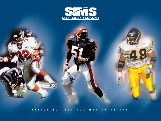

A CHIEVING YOUR MAXIMUM POTENTIAL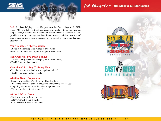

1st Quarter NFL Stock & All-Star Games

**SSM** has been helping players like you transition from college to the NFL since 1988. Our belief is that this process does not have to be complex, but simple. Thus, we would like to give you a general idea of the services we will provide to you by breaking them down into 4 quarters, and then overtime. Of course each particular area of service will be geared to your individual and specific needs.

## **Your Reliable NFL Evaluation**

- Bletso & National updated ratings & projections
- GM's and Scouts views of your strengths & weaknesses

## **Your Personal Pre-Draft Budget**

- Never too early to learn to manage your time and money
- Establishing excellent credit

## **Combine & Pro Day Training Plan**

- Deciding to train at school or with a private trainer?
- Establishing your workout schedule

## **All-Star Game Preparation**

- Senior Bowl vs. East West Shrine vs. Hula Bowl etc.
- What's the difference between the games and which is best for you?
- Preparing you for NFL questionnaires & aptitude tests
- Will you need disability insurance?

## **At the All-Star Game**

- Raising your stock during practice
- Interviews with teams & media
- Our Feedback from GM's & Scouts





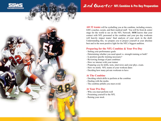

# 2nd Quarter NFL Combine & Pro Day Preparation

**All 32 teams** will be eyeballing you at the combine, including owners, GM's coaches, scouts, and their medical staff. You will be front & center stage for the world to see on the NFL Network. **SSM** knows that your contact with NFL personnel at the combine and your pro day workouts will heavily impact teams' final analysis of your stock in the draft. Understanding this, we prepare you to project yourself at your absolute best and in the most positive light for the NFL's biggest audition.

## **Preparing for the NFL Combine & Your Pro Day**

- Setting your performance goals
- Determining whether you need speed vs. strength training or both?
- Is position specific training necessary?
- Reviewing footage of past combines
- How we interact with your trainer
- Preparing you for drills, tests, interviews and your phys. exam.
- How we notify NFL teams of your workout dates
- Deciding how many private workouts to have

## **At The Combine**

- Deciding which drills to perform at the combine
- Dealing with the media
- The combine pitfalls you must avoid.

## **At Your Pro Day**

- Why you must perform well
- Presenting yourself to the NFL
- Raising your stock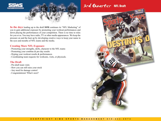

# 3rd Quarter NFL Draft

**In the days** leading up to the draft **SSM** continues its "NFL Marketing" of you to gain additional exposure by promoting your workout performances and down playing the performances of your competition. There is no time to relax for you or us. You may have radio, TV or other media appearances. We keep the pressure on and the heat up by developing creative ways to keep your name in the eyes and mouths of NFL teams and the media.

### **Creating More NFL Exposure**

- Promoting your strengths, skills, character to the NFL teams
- Promoting your combine & pro day results
- Hyping your workout results & performances
- Coordinating team requests for workouts, visits, or physicals.

## **The Draft**

- Pre-draft team visits
- How you can still raise your stock
- Any need for damage control
- Congratulations! What's next?

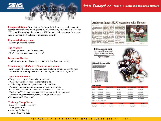

**Congratulations!** Now that you've been drafted we can handle some other business matters before training camp. At whatever entry level you come into the NFL, you'll be making a lot of money. **SSM's** goal is help you properly manage your money for short and long term financial security.

### **Financial Management**

- Selecting a financial adviser

### **Tax Matters**

- Selecting a certified public accountant
- Drafted by a no state income tax team?

### **Insurance Review**

- Making sure you're adequately insured (life, health, auto, disability)

#### **Mini Camps, OTA's & Off- season workouts**

- Knowing if, when and what you can, must or should participate in with your team as a rookie during the off-season before your contract is negotiated.

### **Your NFL Contract**

- The game plan, goals & negotiation timeline
- What you can expect your contract value to be
- Establishing the contract parameters with your team
- Protecting you during mini camps & off season workouts
- Coordinating your contract with your financial & tax advisers
- Work with CPA on any necessary residence change for tax purposes
- Understanding the structure, terms, & length of your deal
- It's a done deal. Now what?

### **Training Camp Basics**

- Show up in excellent condition
- Paying your bills
- Arranging for housing
- Transporting your auto

# 4th Quarter Your NFL Contract & Business Matters

## Anderson lands \$32M extension with Falcons

By Larry Weinman







\$500,000

\$500,000

\$500,000

**3 YEARS** 

\$15,300,000

\$1,500,000

\$1,500,000

\$1,500,000

**4 YEARS** 

21,300,000

\$5,300,000

\$7,500,000

\$12,200,000

**S YEARS** 

32,000,000

|  | © C O P Y R I G H T S I M S S P O R T S M A N A G E M E N T 5 1 0 - 4 4 4 - 4 9 7 4 |  |
|--|-------------------------------------------------------------------------------------|--|

2001

2002

2003

\$9,400,000

\$2,800,000

\$5,000,000

\$5,200,000 **SIGNING BONUS \$7,500,000 FEB-00** 

\$9,900,000

\$500,000

\$500,000

\$5,000,000

2 YEARS

\$11,500,000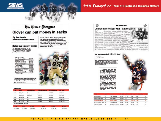

## 4th Quarter Your NFL Contract & Business Matters

**NFL Deatt 2000** 

# The Times-Picayune Glover can put money in sacks

Glover's first sack of Jake Plummer was Glover's

\$700,000 roster bonus for 2001. Glover's second sack was his 30th in the past three seasons, meaning Glover can void the final year of his contract after

next season and perhaps become one of the prime

free agents on the market.

11th of the year, carning the defensive tackle a

#### By Ted Lewis Staff writer/The Times-Picayune

#### Highest-paid players by position

The figures used to compute the oneyear contract offers to franchise players<br>and transition players. The 10 highest-<br>paid players at each position in 2001:

| <b>Defensive tackles</b><br>Warren Sapp, Tampa Bay | \$5,930,000 |
|----------------------------------------------------|-------------|
| Sean Gilbert, Carolina                             | \$5,700,000 |
| Bryant Young, San Francisco                        | \$4,999,811 |
| Latitoi Glover, New Orleans.                       | \$4,576,000 |
| Darrell Russell, Oakland                           | \$3.873.334 |
| Top 5 average:                                     | \$5,038,000 |
| Irayis Hall, Arlanta                               | \$3,828,571 |
| Dan Wilkinson, Washington                          | \$1,587,500 |
| Keith Hamilton, New York Giants \$3,157,785        |             |
| Luther Elliss, Detroit                             | \$2,705,010 |
| <b>Cenard Warren, Cleveland</b>                    | \$2,681,666 |
| Top 10 average:                                    | 54,110,000  |

"It's a beautiful thing," said Glover, whose next sack<br>would carn him an additional \$1.3 million for next year. "But I'll never let that interfere with the team goals and our team concept.

| <b>LA'ROI GLOVER</b> |                                  |                     |               |                      |                  |
|----------------------|----------------------------------|---------------------|---------------|----------------------|------------------|
| <b>YEAR</b>          | <b>BASE</b>                      | <b>ROSTER BONUS</b> | WORKOUT BONUS | <b>SIGNING BONUS</b> | <b>CAP TOTAL</b> |
| 1998                 | \$238,000                        | \$0                 | \$0           | \$640,000            | \$878,000        |
| 1999                 | \$1,600,000                      | \$2,000,000         | \$50,000      | \$640,000            | \$4,290,000      |
| 2000                 | \$3,960,000                      | \$0                 | \$50,000      | \$640,000            | \$4,650,000      |
| 2001                 | \$5,000,000                      | \$0                 | \$50,000      | \$640,000            | \$5,046,000      |
| 2002                 | \$5,200,000                      | \$0                 | \$50,000      | \$540,000            | \$5,482,000      |
|                      | <b>SIGNING BONUS \$3,200,000</b> |                     |               |                      |                  |
| <b>I YEAR</b>        | <b>FEB-00</b>                    | 2 YEARS             | 3 YEARS       | <b>4 YEARS</b>       | <b>STEARS</b>    |
| \$3,438,000          | \$5,438,000                      | \$7,088,000         | \$11,098,000  | 15,504,000           | 20.346.000       |
|                      |                                  |                     |               |                      |                  |

|                                                                                                                                                                                                                                                                                                                                                                                                                                                                                                                                                                                                                                                                                                                                                                                                                                                               | Denver nabs O'Neal with 15th pi                                                                                                                                                                                                                                                                                                                                                                                                                                                                                                                                                                                                                                                                                                                                                                       |                                                                                                                                                                                                                                                                                                                                                                                                                                                                                                                                                                                                                                                                                                                                                                                                                              |                                                                                                                                                                                                                                                                                                                                                                                                                                                                                                                                     |  |  |
|---------------------------------------------------------------------------------------------------------------------------------------------------------------------------------------------------------------------------------------------------------------------------------------------------------------------------------------------------------------------------------------------------------------------------------------------------------------------------------------------------------------------------------------------------------------------------------------------------------------------------------------------------------------------------------------------------------------------------------------------------------------------------------------------------------------------------------------------------------------|-------------------------------------------------------------------------------------------------------------------------------------------------------------------------------------------------------------------------------------------------------------------------------------------------------------------------------------------------------------------------------------------------------------------------------------------------------------------------------------------------------------------------------------------------------------------------------------------------------------------------------------------------------------------------------------------------------------------------------------------------------------------------------------------------------|------------------------------------------------------------------------------------------------------------------------------------------------------------------------------------------------------------------------------------------------------------------------------------------------------------------------------------------------------------------------------------------------------------------------------------------------------------------------------------------------------------------------------------------------------------------------------------------------------------------------------------------------------------------------------------------------------------------------------------------------------------------------------------------------------------------------------|-------------------------------------------------------------------------------------------------------------------------------------------------------------------------------------------------------------------------------------------------------------------------------------------------------------------------------------------------------------------------------------------------------------------------------------------------------------------------------------------------------------------------------------|--|--|
| <b>UNITED</b><br>GERAND - As the parts<br>are been more.<br>EPSpars-aud-glass archi- limi an<br>But that in in source an<br><b>Reliances</b> whole resistor true<br>Research International American of<br>o<br>. This man, there would be on<br>task collect. The nee de<br>Ran-Alta Sedescore Phone of the<br>bear incinity secondard in the<br>starmed into those is to<br>They last cause last of its<br>lateler and company car." All'una<br>and of the dark of funnit and<br>because they accorded have no de-<br>Registrate and the control classifi-<br>below to closely finite that four-person<br>10th park of the specialty cleared<br>of the APR Street up furnacing<br><b>MARINE</b><br>We classe out authorit<br>interior and I party the length.<br>and throught not more liable<br>Died Couler, Direct Avenue<br>and at the group machine plan | 1.00 mm<br>and "Reversedung all make" "<br>tribut the night signed<br><b>Brid Atlantificial considered from</b><br>of the previously of technique the<br>Michels Adobe converse of \$107 K.h.<br>ingl German, 35 Anally Avenue<br>an excess as she saves from his<br>T. Marchael<br>meter and them it republic take<br>periodicine the Original Better of<br><b>1.600</b><br>belling interest on the way<br>figure 2 was the students as be<br>and Autube, 1964; IT as closely<br><b>By Strate</b><br>That they has a senate<br>his provincial dealerships in any<br>tion that was previousned when<br>has called bay with word dual<br><b>Internit sensoral diseased Newt</b><br>hablest line capture of said as<br><b>Bridge Londo</b><br>by manyoists the most<br>parts study yours. He senditions | Board on him leads shall: he<br>Lan majority expiring homes took<br>lants will indicate an a must be as<br><b><i><u>START BALL</u></i></b><br>The In<br>starts bland then<br>atten dealers (thing to 68 m)<br>and left to A monitori plant<br>Eatomar season extended.<br>Tark Curren, who stated a se-<br><b>KILRAUBIN</b><br>age, as facing is one used nonder-<br>tion after tall termine auto<br>allows catchesive to there is<br><b>Browning crimedia Milkins And</b><br>by town make<br>at carrier and<br>APR. Warling into have a gas<br>line is closing to be use<br>midled for a strail -- starts carati-<br>and saids schools later size faith a<br>may be air rady mote. but not<br>should had not only for your<br>designed and Coal-<br>to the con-<br>front, 50 roof six the This<br>an I associately alle and | of these for truckshees.<br>June Sint swarn last.<br>markets and<br><b>ALCOHOL:</b><br>dog and up where<br>Stand burds a job sails<br>Look at a Corang.<br>a family line shall<br><b>Gr Sand But Artist</b><br>and his mother.<br><b>B. Arts - Automated</b><br>to last<br><b>Side and</b><br><b>By simplyied</b><br><b>STRAND OF</b><br>an oried showed from<br><b>British</b><br><b>John B</b><br><b>Booking</b><br>was like \$5 of their two<br>$m\hbar$<br>diam'r.<br>Shown Jan<br>Londo Fring Moderne and<br>arrested costs in |  |  |



ż

#### Big bonus part of O'Neal's deal

er Adam Scheffer

鹂

Before the Broncos kicked off training camp today, first-round draft pick Deltha O'Neal signed a seven-year<br>voilfable contract worth 19.1 million that included a<br>14.35 million signing bonus. The deal voids into a five-year

-T watched the first nine<br>picks and then I couldn't take<br>it," O'Neal said Saturday after-<br>noon from the Oakland home of his agent, James Sims. "I was<br>upstairs, I was downstairs, I upstaining in the bathroom<br>looking myself in the mirror.<br>Then I suse the mailman go by<br>and thought, 'Okay, I'll go check<br>the mail.'

That was his rationalization for pacing the front lawn, a process that was interrupted when<br>Sims called him with word that Broncos general manager Neal<br>Dahlen had tabbed O'Neal as their man.



| <b>CLUE</b>                   | <b>PIGK</b> | <b>PLAYER</b>               | <b>POOLS</b> | <b>POOL!</b> | AVO./TR.       | <b>SIGNING BONUS</b> | <b>YES.</b> |
|-------------------------------|-------------|-----------------------------|--------------|--------------|----------------|----------------------|-------------|
| NEW YORK JETS                 | 13          | <b><i>STHIN ABRAHAM</i></b> | 1,140        | 21.22        | 1,510          | 2,000                | s.          |
| <b>GREEN BAY RACKERS</b>      | 14          | <b>BUBBA FRANKS</b>         | 1,243.75     | 28.2         | 1,259          | 4,670                | - 5         |
| <b><i>CENVER ERONICOS</i></b> | 15          | DETHA O'NEAL                | 1,181        | 24.44        | 1,579.25 4,550 |                      | y           |
| SAN RANCISCO AREES 16         |             | <b>JULIAN PETERSON</b>      | 1,257        | 24.47        | 1,265.21       | 4,520                | ۰           |
| <b>CAKLAND RADERS</b>         | 17          | SEBASTIAN SANKCIWSO         | 1,037.25     | 40.19        | 1,216.25       | 7,000                | 3           |

a N